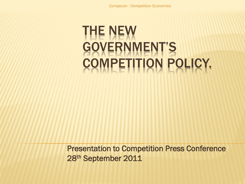Compecon - Competition Economics

# **HE NEW** GOVERNMENT'S OMPETITION POLICY.

Presentation to Competition Press Conference 28th September 2011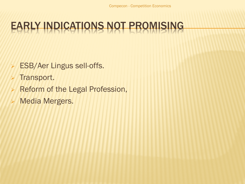## EARLY INDICATIONS NOT PROMISING

- ESB/Aer Lingus sell-offs.
- Transport.
- Reform of the Legal Profession,
- Media Mergers.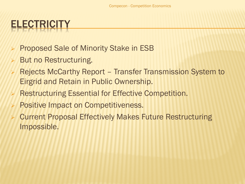# **ELECTRICITY**

- Proposed Sale of Minority Stake in ESB
- But no Restructuring.
- Rejects McCarthy Report Transfer Transmission System to Eirgrid and Retain in Public Ownership.
- **Restructuring Essential for Effective Competition.**
- Positive Impact on Competitiveness.
- Current Proposal Effectively Makes Future Restructuring Impossible.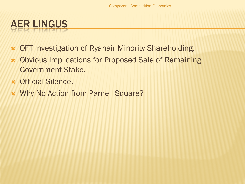# **ER LINGUS**

- OFT investigation of Ryanair Minority Shareholding.
- Obvious Implications for Proposed Sale of Remaining Government Stake.
- Official Silence.
- Why No Action from Parnell Square?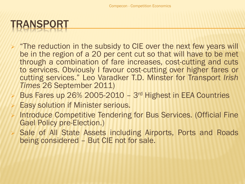#### TRANSPORT

- $\triangleright$  "The reduction in the subsidy to CIE over the next few years will be in the region of a 20 per cent cut so that will have to be met through a combination of fare increases, cost-cutting and cuts to services. Obviously I favour cost-cutting over higher fares or cutting services." Leo Varadker T.D. Minster for Transport *Irish Times* 26 September 2011)
- Bus Fares up 26% 2005-2010 3rd Highest in EEA Countries
- Easy solution if Minister serious.
- Introduce Competitive Tendering for Bus Services. (Official Fine Gael Policy pre-Election.)
- Sale of All State Assets including Airports, Ports and Roads being considered – But CIE not for sale.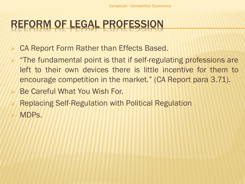#### REFORM OF LEGAL PROFESSION

- CA Report Form Rather than Effects Based.
- "The fundamental point is that if self-regulating professions are left to their own devices there is little incentive for them to encourage competition in the market." (CA Report para 3.71).
- Be Careful What You Wish For.
- Replacing Self-Regulation with Political Regulation
- MDPs.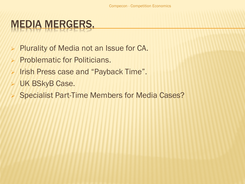#### MEDIA MERGERS.

- **Plurality of Media not an Issue for CA.**
- Problematic for Politicians.
- Irish Press case and "Payback Time".
- **EX UK BSkyB Case.**
- Specialist Part-Time Members for Media Cases?